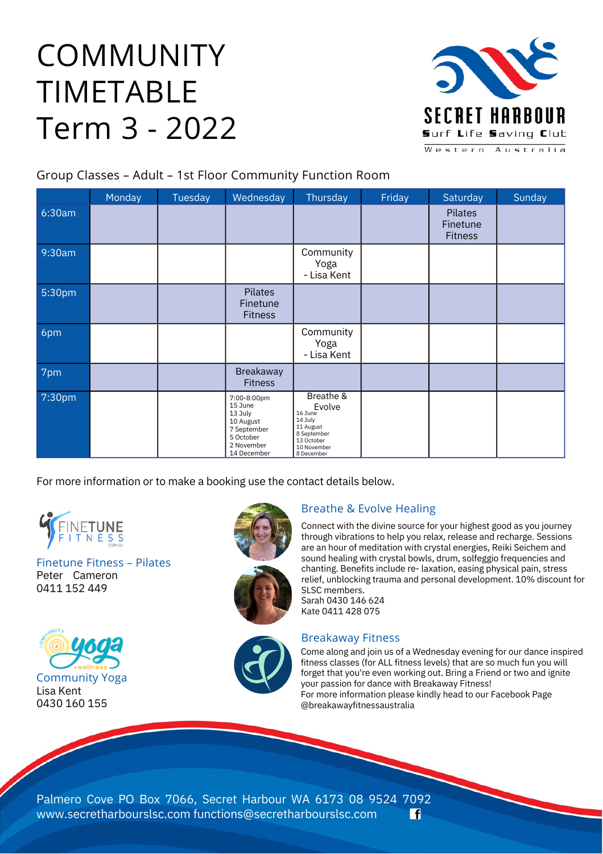# COMMUNITY TIMETABLE Term 3 - 2022



Group Classes – Adult – 1st Floor Community Function Room

|        | Monday | Tuesday | Wednesday                                                                                               | Thursday                                                                                                         | Friday | Saturday                              | Sunday |
|--------|--------|---------|---------------------------------------------------------------------------------------------------------|------------------------------------------------------------------------------------------------------------------|--------|---------------------------------------|--------|
| 6:30am |        |         |                                                                                                         |                                                                                                                  |        | Pilates<br>Finetune<br><b>Fitness</b> |        |
| 9:30am |        |         |                                                                                                         | Community<br>Yoga<br>- Lisa Kent                                                                                 |        |                                       |        |
| 5:30pm |        |         | <b>Pilates</b><br>Finetune<br><b>Fitness</b>                                                            |                                                                                                                  |        |                                       |        |
| 6pm    |        |         |                                                                                                         | Community<br>Yoga<br>- Lisa Kent                                                                                 |        |                                       |        |
| 7pm    |        |         | Breakaway<br><b>Fitness</b>                                                                             |                                                                                                                  |        |                                       |        |
| 7:30pm |        |         | 7:00-8:00pm<br>15 June<br>13 July<br>10 August<br>7 September<br>5 October<br>2 November<br>14 December | Breathe &<br>Evolve<br>16 June<br>14 July<br>11 August<br>8 September<br>13 October<br>10 November<br>8 December |        |                                       |        |

For more information or to make a booking use the contact details below.



Peter Cameron 0411 152 449 Finetune Fitness – Pilates







Connect with the divine source for your highest good as you journey through vibrations to help you relax, release and recharge. Sessions are an hour of meditation with crystal energies, Reiki Seichem and sound healing with crystal bowls, drum, solfeggio frequencies and chanting. Benefits include re- laxation, easing physical pain, stress relief, unblocking trauma and personal development. 10% discount for SLSC members. Sarah 0430 146 624 Kate 0411 428 075



#### Breakaway Fitness

Come along and join us of a Wednesday evening for our dance inspired fitness classes (for ALL fitness levels) that are so much fun you will forget that you're even working out. Bring a Friend or two and ignite your passion for dance with Breakaway Fitness! For more information please kindly head to our Facebook Page @breakawayfitnessaustralia

Palmero Cove PO Box 7066, Secret Harbour WA 6173 08 9524 7092 www.secretharbourslsc.com functions@secretharbourslsc.com l fl